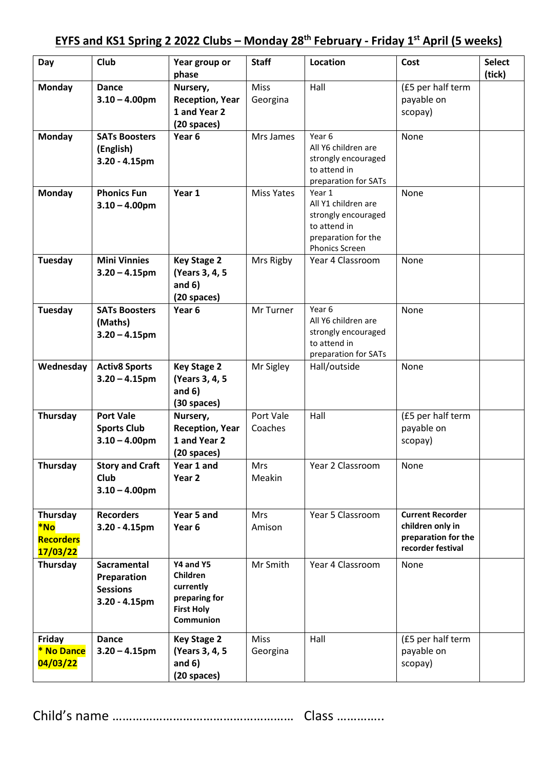## **EYFS and KS1 Spring 2 2022 Clubs – Monday 28th February - Friday 1 st April (5 weeks)**

| Day                                             | Club                                                                     | Year group or<br>phase                                                                       | <b>Staff</b>            | Location                                                                                                             | Cost                                                                                    | <b>Select</b><br>(tick) |
|-------------------------------------------------|--------------------------------------------------------------------------|----------------------------------------------------------------------------------------------|-------------------------|----------------------------------------------------------------------------------------------------------------------|-----------------------------------------------------------------------------------------|-------------------------|
| <b>Monday</b>                                   | <b>Dance</b><br>$3.10 - 4.00$ pm                                         | Nursery,<br><b>Reception, Year</b><br>1 and Year 2<br>(20 spaces)                            | <b>Miss</b><br>Georgina | Hall                                                                                                                 | (£5 per half term<br>payable on<br>scopay)                                              |                         |
| <b>Monday</b>                                   | <b>SATs Boosters</b><br>(English)<br>$3.20 - 4.15$ pm                    | Year <sub>6</sub>                                                                            | Mrs James               | Year 6<br>All Y6 children are<br>strongly encouraged<br>to attend in<br>preparation for SATs                         | None                                                                                    |                         |
| <b>Monday</b>                                   | <b>Phonics Fun</b><br>$3.10 - 4.00$ pm                                   | Year 1                                                                                       | <b>Miss Yates</b>       | Year 1<br>All Y1 children are<br>strongly encouraged<br>to attend in<br>preparation for the<br><b>Phonics Screen</b> | None                                                                                    |                         |
| Tuesday                                         | <b>Mini Vinnies</b><br>$3.20 - 4.15$ pm                                  | <b>Key Stage 2</b><br>(Years 3, 4, 5)<br>and $6)$<br>$(20$ spaces)                           | Mrs Rigby               | Year 4 Classroom                                                                                                     | None                                                                                    |                         |
| Tuesday                                         | <b>SATs Boosters</b><br>(Maths)<br>$3.20 - 4.15$ pm                      | Year <sub>6</sub>                                                                            | Mr Turner               | Year 6<br>All Y6 children are<br>strongly encouraged<br>to attend in<br>preparation for SATs                         | None                                                                                    |                         |
| Wednesday                                       | <b>Activ8 Sports</b><br>$3.20 - 4.15$ pm                                 | <b>Key Stage 2</b><br>(Years 3, 4, 5)<br>and $6)$<br>$(30$ spaces)                           | Mr Sigley               | Hall/outside                                                                                                         | None                                                                                    |                         |
| Thursday                                        | <b>Port Vale</b><br><b>Sports Club</b><br>$3.10 - 4.00$ pm               | Nursery,<br><b>Reception, Year</b><br>1 and Year 2<br>(20 spaces)                            | Port Vale<br>Coaches    | Hall                                                                                                                 | (£5 per half term<br>payable on<br>scopay)                                              |                         |
| <b>Thursday</b>                                 | <b>Story and Craft</b><br><b>Club</b><br>$3.10 - 4.00$ pm                | Year 1 and<br>Year 2                                                                         | Mrs<br>Meakin           | Year 2 Classroom                                                                                                     | None                                                                                    |                         |
| Thursday<br>*No<br><b>Recorders</b><br>17/03/22 | <b>Recorders</b><br>$3.20 - 4.15$ pm                                     | Year 5 and<br>Year <sub>6</sub>                                                              | <b>Mrs</b><br>Amison    | Year 5 Classroom                                                                                                     | <b>Current Recorder</b><br>children only in<br>preparation for the<br>recorder festival |                         |
| Thursday                                        | <b>Sacramental</b><br>Preparation<br><b>Sessions</b><br>$3.20 - 4.15$ pm | Y4 and Y5<br>Children<br>currently<br>preparing for<br><b>First Holy</b><br><b>Communion</b> | Mr Smith                | Year 4 Classroom                                                                                                     | None                                                                                    |                         |
| Friday<br>* No Dance<br>04/03/22                | <b>Dance</b><br>$3.20 - 4.15$ pm                                         | <b>Key Stage 2</b><br>(Years 3, 4, 5)<br>and $6)$<br>(20 spaces)                             | <b>Miss</b><br>Georgina | Hall                                                                                                                 | (£5 per half term<br>payable on<br>scopay)                                              |                         |

Child's name ……………………………………………… Class …………..